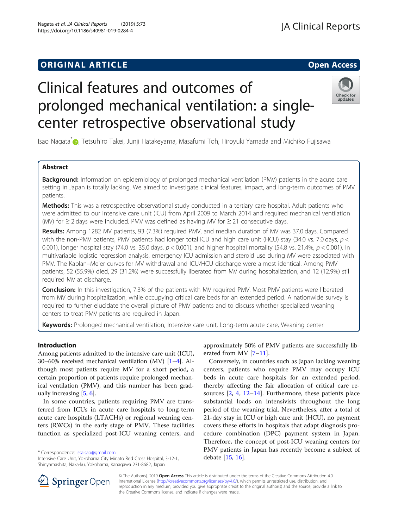# **ORIGINAL ARTICLE** And the open Access of the Open Access of the Open Access of the Open Access of the Open Access

# Clinical features and outcomes of prolonged mechanical ventilation: a singlecenter retrospective observational study



Isao Nagata<sup>\*</sup> , Tetsuhiro Takei, Junji Hatakeyama, Masafumi Toh, Hiroyuki Yamada and Michiko Fujisawa

# Abstract

**Background:** Information on epidemiology of prolonged mechanical ventilation (PMV) patients in the acute care setting in Japan is totally lacking. We aimed to investigate clinical features, impact, and long-term outcomes of PMV patients.

**Methods:** This was a retrospective observational study conducted in a tertiary care hospital. Adult patients who were admitted to our intensive care unit (ICU) from April 2009 to March 2014 and required mechanical ventilation (MV) for ≥ 2 days were included. PMV was defined as having MV for ≥ 21 consecutive days.

Results: Among 1282 MV patients, 93 (7.3%) required PMV, and median duration of MV was 37.0 days. Compared with the non-PMV patients, PMV patients had longer total ICU and high care unit (HCU) stay (34.0 vs. 7.0 days,  $p <$ 0.001), longer hospital stay (74.0 vs. 35.0 days,  $p < 0.001$ ), and higher hospital mortality (54.8 vs. 21.4%,  $p < 0.001$ ). In multivariable logistic regression analysis, emergency ICU admission and steroid use during MV were associated with PMV. The Kaplan–Meier curves for MV withdrawal and ICU/HCU discharge were almost identical. Among PMV patients, 52 (55.9%) died, 29 (31.2%) were successfully liberated from MV during hospitalization, and 12 (12.9%) still required MV at discharge.

**Conclusion:** In this investigation, 7.3% of the patients with MV required PMV. Most PMV patients were liberated from MV during hospitalization, while occupying critical care beds for an extended period. A nationwide survey is required to further elucidate the overall picture of PMV patients and to discuss whether specialized weaning centers to treat PMV patients are required in Japan.

**Keywords:** Prolonged mechanical ventilation, Intensive care unit, Long-term acute care, Weaning center

### Introduction

Among patients admitted to the intensive care unit (ICU), 30–60% received mechanical ventilation (MV) [\[1](#page-6-0)–[4\]](#page-6-0). Although most patients require MV for a short period, a certain proportion of patients require prolonged mechanical ventilation (PMV), and this number has been gradually increasing [\[5](#page-6-0), [6\]](#page-6-0).

In some countries, patients requiring PMV are transferred from ICUs in acute care hospitals to long-term acute care hospitals (LTACHs) or regional weaning centers (RWCs) in the early stage of PMV. These facilities function as specialized post-ICU weaning centers, and

\* Correspondence: [issaisao@gmail.com](mailto:issaisao@gmail.com)

approximately 50% of PMV patients are successfully liberated from MV [[7](#page-6-0)–[11](#page-6-0)].

Conversely, in countries such as Japan lacking weaning centers, patients who require PMV may occupy ICU beds in acute care hospitals for an extended period, thereby affecting the fair allocation of critical care resources [\[2](#page-6-0), [4](#page-6-0), [12](#page-6-0)–[14\]](#page-6-0). Furthermore, these patients place substantial loads on intensivists throughout the long period of the weaning trial. Nevertheless, after a total of 21-day stay in ICU or high care unit (HCU), no payment covers these efforts in hospitals that adapt diagnosis procedure combination (DPC) payment system in Japan. Therefore, the concept of post-ICU weaning centers for PMV patients in Japan has recently become a subject of debate [[15](#page-6-0), [16](#page-6-0)].



© The Author(s). 2019 Open Access This article is distributed under the terms of the Creative Commons Attribution 4.0 International License ([http://creativecommons.org/licenses/by/4.0/\)](http://creativecommons.org/licenses/by/4.0/), which permits unrestricted use, distribution, and reproduction in any medium, provided you give appropriate credit to the original author(s) and the source, provide a link to the Creative Commons license, and indicate if changes were made.

Intensive Care Unit, Yokohama City Minato Red Cross Hospital, 3-12-1, Shinyamashita, Naka-ku, Yokohama, Kanagawa 231-8682, Japan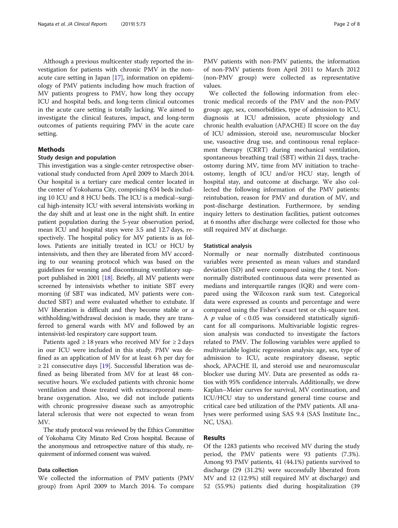Although a previous multicenter study reported the investigation for patients with chronic PMV in the nonacute care setting in Japan [\[17](#page-6-0)], information on epidemiology of PMV patients including how much fraction of MV patients progress to PMV, how long they occupy ICU and hospital beds, and long-term clinical outcomes in the acute care setting is totally lacking. We aimed to investigate the clinical features, impact, and long-term outcomes of patients requiring PMV in the acute care setting.

#### Methods

#### Study design and population

This investigation was a single-center retrospective observational study conducted from April 2009 to March 2014. Our hospital is a tertiary care medical center located in the center of Yokohama City, comprising 634 beds including 10 ICU and 8 HCU beds. The ICU is a medical–surgical high-intensity ICU with several intensivists working in the day shift and at least one in the night shift. In entire patient population during the 5-year observation period, mean ICU and hospital stays were 3.5 and 12.7 days, respectively. The hospital policy for MV patients is as follows. Patients are initially treated in ICU or HCU by intensivists, and then they are liberated from MV according to our weaning protocol which was based on the guidelines for weaning and discontinuing ventilatory support published in 2001 [[18](#page-6-0)]. Briefly, all MV patients were screened by intensivists whether to initiate SBT every morning (if SBT was indicated, MV patients were conducted SBT) and were evaluated whether to extubate. If MV liberation is difficult and they become stable or a withholding/withdrawal decision is made, they are transferred to general wards with MV and followed by an intensivist-led respiratory care support team.

Patients aged  $\geq$  18 years who received MV for  $\geq$  2 days in our ICU were included in this study. PMV was defined as an application of MV for at least 6 h per day for  $\geq$  21 consecutive days [[19](#page-6-0)]. Successful liberation was defined as being liberated from MV for at least 48 consecutive hours. We excluded patients with chronic home ventilation and those treated with extracorporeal membrane oxygenation. Also, we did not include patients with chronic progressive disease such as amyotrophic lateral sclerosis that were not expected to wean from MV.

The study protocol was reviewed by the Ethics Committee of Yokohama City Minato Red Cross hospital. Because of the anonymous and retrospective nature of this study, requirement of informed consent was waived.

#### Data collection

We collected the information of PMV patients (PMV group) from April 2009 to March 2014. To compare

PMV patients with non-PMV patients, the information of non-PMV patients from April 2011 to March 2012 (non-PMV group) were collected as representative values.

We collected the following information from electronic medical records of the PMV and the non-PMV group: age, sex, comorbidities, type of admission to ICU, diagnosis at ICU admission, acute physiology and chronic health evaluation (APACHE) II score on the day of ICU admission, steroid use, neuromuscular blocker use, vasoactive drug use, and continuous renal replacement therapy (CRRT) during mechanical ventilation, spontaneous breathing trail (SBT) within 21 days, tracheostomy during MV, time from MV initiation to tracheostomy, length of ICU and/or HCU stay, length of hospital stay, and outcome at discharge. We also collected the following information of the PMV patients: reintubation, reason for PMV and duration of MV, and post-discharge destination. Furthermore, by sending inquiry letters to destination facilities, patient outcomes at 6 months after discharge were collected for those who still required MV at discharge.

#### Statistical analysis

Normally or near normally distributed continuous variables were presented as mean values and standard deviation  $(SD)$  and were compared using the  $t$  test. Nonnormally distributed continuous data were presented as medians and interquartile ranges (IQR) and were compared using the Wilcoxon rank sum test. Categorical data were expressed as counts and percentage and were compared using the Fisher's exact test or chi-square test. A  $p$  value of  $< 0.05$  was considered statistically significant for all comparisons. Multivariable logistic regression analysis was conducted to investigate the factors related to PMV. The following variables were applied to multivariable logistic regression analysis: age, sex, type of admission to ICU, acute respiratory disease, septic shock, APACHE II, and steroid use and neuromuscular blocker use during MV. Data are presented as odds ratios with 95% confidence intervals. Additionally, we drew Kaplan–Meier curves for survival, MV continuation, and ICU/HCU stay to understand general time course and critical care bed utilization of the PMV patients. All analyses were performed using SAS 9.4 (SAS Institute Inc., NC, USA).

#### Results

Of the 1283 patients who received MV during the study period, the PMV patients were 93 patients (7.3%). Among 93 PMV patients, 41 (44.1%) patients survived to discharge (29 (31.2%) were successfully liberated from MV and 12 (12.9%) still required MV at discharge) and 52 (55.9%) patients died during hospitalization (39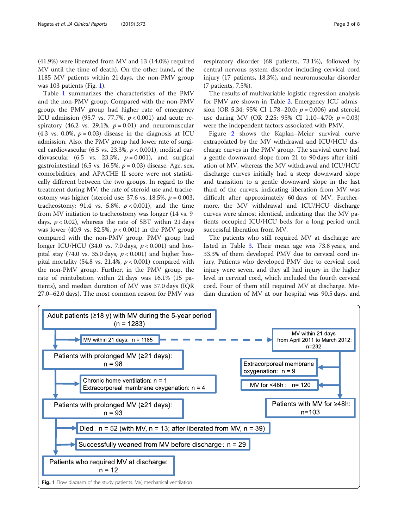(41.9%) were liberated from MV and 13 (14.0%) required MV until the time of death). On the other hand, of the 1185 MV patients within 21 days, the non-PMV group was 103 patients (Fig. 1).

Table [1](#page-3-0) summarizes the characteristics of the PMV and the non-PMV group. Compared with the non-PMV group, the PMV group had higher rate of emergency ICU admission (95.7 vs. 77.7%,  $p < 0.001$ ) and acute respiratory (46.2 vs. 29.1%,  $p = 0.01$ ) and neuromuscular (4.3 vs. 0.0%,  $p = 0.03$ ) disease in the diagnosis at ICU admission. Also, the PMV group had lower rate of surgical cardiovascular (6.5 vs. 23.3%,  $p < 0.001$ ), medical cardiovascular (6.5 vs. 23.3%,  $p = 0.001$ ), and surgical gastrointestinal (6.5 vs. 16.5%,  $p = 0.03$ ) disease. Age, sex, comorbidities, and APACHE II score were not statistically different between the two groups. In regard to the treatment during MV, the rate of steroid use and tracheostomy was higher (steroid use: 37.6 vs. 18.5%,  $p = 0.003$ , tracheostomy: 91.4 vs. 5.8%,  $p < 0.001$ ), and the time from MV initiation to tracheostomy was longer (14 vs. 9 days,  $p < 0.02$ ), whereas the rate of SBT within 21 days was lower (40.9 vs. 82.5%,  $p < 0.001$ ) in the PMV group compared with the non-PMV group. PMV group had longer ICU/HCU (34.0 vs. 7.0 days,  $p < 0.001$ ) and hospital stay (74.0 vs. 35.0 days,  $p < 0.001$ ) and higher hospital mortality (54.8 vs. 21.4%,  $p < 0.001$ ) compared with the non-PMV group. Further, in the PMV group, the rate of reintubation within 21 days was 16.1% (15 patients), and median duration of MV was 37.0 days (IQR 27.0–62.0 days). The most common reason for PMV was respiratory disorder (68 patients, 73.1%), followed by central nervous system disorder including cervical cord injury (17 patients, 18.3%), and neuromuscular disorder (7 patients, 7.5%).

The results of multivariable logistic regression analysis for PMV are shown in Table [2](#page-3-0). Emergency ICU admission (OR 5.34; 95% CI 1.78–20.0;  $p = 0.006$ ) and steroid use during MV (OR 2.25; 95% CI 1.10–4.70;  $p = 0.03$ ) were the independent factors associated with PMV.

Figure [2](#page-4-0) shows the Kaplan–Meier survival curve extrapolated by the MV withdrawal and ICU/HCU discharge curves in the PMV group. The survival curve had a gentle downward slope from 21 to 90 days after initiation of MV, whereas the MV withdrawal and ICU/HCU discharge curves initially had a steep downward slope and transition to a gentle downward slope in the last third of the curves, indicating liberation from MV was difficult after approximately 60 days of MV. Furthermore, the MV withdrawal and ICU/HCU discharge curves were almost identical, indicating that the MV patients occupied ICU/HCU beds for a long period until successful liberation from MV.

The patients who still required MV at discharge are listed in Table [3](#page-4-0). Their mean age was 73.8 years, and 33.3% of them developed PMV due to cervical cord injury. Patients who developed PMV due to cervical cord injury were seven, and they all had injury in the higher level in cervical cord, which included the fourth cervical cord. Four of them still required MV at discharge. Median duration of MV at our hospital was 90.5 days, and

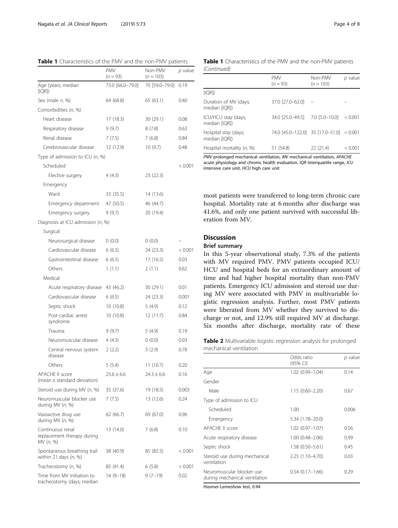|                                                             | <b>PMV</b><br>$(n = 93)$ | Non-PMV<br>$(n = 103)$ | p value |
|-------------------------------------------------------------|--------------------------|------------------------|---------|
| Age (years; median<br>[IQR]                                 | 73.0 [66.0-79.0]         | 70 [59.0-79.0]         | 0.19    |
| Sex (male n, %)                                             | 64 (68.8)                | 65 (63.1)              | 0.40    |
| Comorbidities (n, %)                                        |                          |                        |         |
| Heart disease                                               | 17 (18.3)                | 30 (29.1)              | 0.08    |
| Respiratory disease                                         | 9(9.7)                   | 8(7.8)                 | 0.63    |
| Renal disease                                               | 7(7.5)                   | 7(6.8)                 | 0.84    |
| Cerebrovascular disease                                     | 12 (12.9)                | 10(9.7)                | 0.48    |
| Type of admission to ICU (n, %)                             |                          |                        |         |
| Scheduled                                                   |                          |                        | < 0.001 |
| Elective surgery                                            | 4(4.3)                   | 23 (22.3)              |         |
| Emergency                                                   |                          |                        |         |
| Ward                                                        | 33 (35.5)                | 14 (13.6)              |         |
| Emergency department                                        | 47 (50.5)                | 46 (44.7)              |         |
| Emergency surgery                                           | 9(9.7)                   | 20 (19.4)              |         |
| Diagnosis at ICU admission (n, %)                           |                          |                        |         |
| Surgical                                                    |                          |                        |         |
| Neurosurgical disease                                       | 0(0.0)                   | 0(0.0)                 |         |
| Cardiovascular disease                                      | 6(6.5)                   | 24 (23.3)              | < 0.001 |
| Gastrointestinal disease                                    | 6(6.5)                   | 17(16.5)               | 0.03    |
| Others                                                      | 1(1.1)                   | 2(1.1)                 | 0.62    |
| Medical                                                     |                          |                        |         |
| Acute respiratory disease                                   | 43 (46.2)                | 30 (29.1)              | 0.01    |
| Cardiovascular disease                                      | 6(6.5)                   | 24 (23.3)              | 0.001   |
| Septic shock                                                | 10(10.8)                 | 5(4.9)                 | 0.12    |
| Post-cardiac arrest<br>syndrome                             | 10 (10.8)                | 12(11.7)               | 0.84    |
| Trauma                                                      | 9(9.7)                   | 5(4.9)                 | 0.19    |
| Neuromuscular disease                                       | 4 (4.3)                  | (0.0)                  | 0.03    |
| Central nervous system<br>disease                           | 2(2.2)                   | 3(2.9)                 | 0.78    |
| Others                                                      | 5(5.4)                   | 11(10.7)               | 0.20    |
| <b>APACHE II score</b><br>(mean $\pm$ standard deviation)   | $25.6 \pm 6.6$           | $24.3 \pm 6.6$         | 0.16    |
| Steroid use during MV (n, %)                                | 35 (37.6)                | 19 (18.5)              | 0.003   |
| Neuromuscular blocker use<br>during MV $(n, %)$             | 7 (7.5)                  | 13 (12.6)              | 0.24    |
| Vasoactive drug use<br>during MV (n, %)                     | 62 (66.7)                | 69 (67.0)              | 0.96    |
| Continuous renal<br>replacement therapy during<br>MV (n, %) | 13 (14.0)                | 7(6.8)                 | 0.10    |
| Spontaneous breathing trail<br>within 21 days $(n, %)$      | 38 (40.9)                | 85 (82.5)              | < 0.001 |
| Tracheostomy (n, %)                                         | 85 (91.4)                | 6(5.8)                 | < 0.001 |
| Time from MV initiation to<br>tracheostomy (days; median    | $14(9-18)$               | $9(7-19)$              | 0.02    |

<span id="page-3-0"></span>Table 1 Characteristics of the PMV and the non-PMV patients

#### Table 1 Characteristics of the PMV and the non-PMV patients (Continued)

|                                        | <b>PMV</b><br>$(n = 93)$                 | Non-PMV<br>$(n = 103)$ | p value |
|----------------------------------------|------------------------------------------|------------------------|---------|
| [IQR]                                  |                                          |                        |         |
| Duration of MV (days;<br>median [IQR]) | 37.0 [27.0-62.0]                         |                        |         |
| ICU/HCU stay (days;<br>median [IQR])   | 34.0 [25.0-49.5]                         | $7.0$ [5.0-10.0]       | < 0.001 |
| Hospital stay (days;<br>median [IQR])  | 74.0 [45.0-122.0] 35 [17.0-51.0] < 0.001 |                        |         |
| Hospital mortality (n, %)              | 51 (54.8)                                | 22(21.4)               | < 0.001 |

PMV prolonged mechanical ventilation, MV mechanical ventilation, APACHE acute physiology and chronic health evaluation, IQR interquartile range, ICU intensive care unit, HCU high care unit

most patients were transferred to long-term chronic care hospital. Mortality rate at 6 months after discharge was 41.6%, and only one patient survived with successful liberation from MV.

# Discussion

#### Brief summary

In this 5-year observational study, 7.3% of the patients with MV required PMV. PMV patients occupied ICU/ HCU and hospital beds for an extraordinary amount of time and had higher hospital mortality than non-PMV patients. Emergency ICU admission and steroid use during MV were associated with PMV in multivariable logistic regression analysis. Further, most PMV patients were liberated from MV whether they survived to discharge or not, and 12.9% still required MV at discharge. Six months after discharge, mortality rate of these

Table 2 Multivariable logistic regression analysis for prolonged mechanical ventilation

|                                                            | Odds ratio<br>(95% CI) | p value |  |
|------------------------------------------------------------|------------------------|---------|--|
| Age                                                        | 1.02 (0.99-1.04)       | 0.14    |  |
| Gender                                                     |                        |         |  |
| Male                                                       | $1.15(0.60 - 2.20)$    | 0.67    |  |
| Type of admission to ICU                                   |                        |         |  |
| Scheduled                                                  | 1.00                   | 0.006   |  |
| Emergency                                                  | 5.34 (1.78-20.0)       |         |  |
| APACHE II score                                            | $1.02(0.97 - 1.07)$    | 0.56    |  |
| Acute respiratory disease                                  | $1.00(0.48 - 2.06)$    | 0.99    |  |
| Septic shock                                               | $1.58(0.50 - 5.61)$    | 0.45    |  |
| Steroid use during mechanical<br>ventilation               | $2.25(1.10-4.70)$      | 0.03    |  |
| Neuromuscular blocker use<br>during mechanical ventilation | $0.54(0.17-1.66)$      | 0.29    |  |

Hosmer-Lemeshow test, 0.94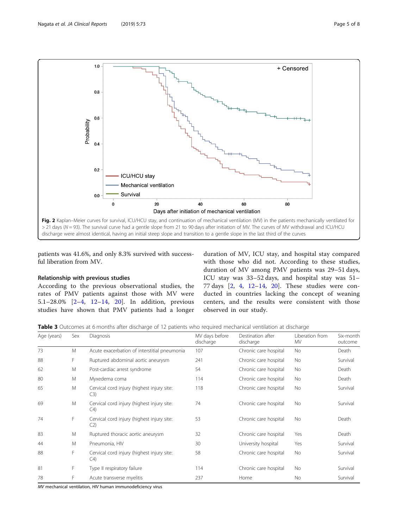<span id="page-4-0"></span>

patients was 41.6%, and only 8.3% survived with successful liberation from MV.

#### Relationship with previous studies

According to the previous observational studies, the rates of PMV patients against those with MV were 5.1–28.0% [[2](#page-6-0)–[4,](#page-6-0) [12](#page-6-0)–[14,](#page-6-0) [20\]](#page-6-0). In addition, previous studies have shown that PMV patients had a longer

duration of MV, ICU stay, and hospital stay compared with those who did not. According to these studies, duration of MV among PMV patients was 29–51 days, ICU stay was 33–52 days, and hospital stay was 51– 77 days [\[2](#page-6-0), [4,](#page-6-0) [12](#page-6-0)–[14](#page-6-0), [20\]](#page-6-0). These studies were conducted in countries lacking the concept of weaning centers, and the results were consistent with those observed in our study.

Table 3 Outcomes at 6 months after discharge of 12 patients who required mechanical ventilation at discharge

| Age (years) | Sex | Diagnosis                                                    | MV days before<br>discharge | Destination after<br>discharge | Liberation from<br>ΜV | Six-month<br>outcome |
|-------------|-----|--------------------------------------------------------------|-----------------------------|--------------------------------|-----------------------|----------------------|
| 73          | M   | Acute exacerbation of interstitial pneumonia                 | 107                         | Chronic care hospital          | <b>No</b>             | Death                |
| 88          | F   | Ruptured abdominal aortic aneurysm                           | 241                         | Chronic care hospital          | No.                   | Survival             |
| 62          | M   | Post-cardiac arrest syndrome                                 | 54                          | Chronic care hospital          | <b>No</b>             | Death                |
| 80          | M   | Myxedema coma                                                | 114                         | Chronic care hospital          | No.                   | Death                |
| 65          | M   | Cervical cord injury (highest injury site:<br>C3)            | 118                         | Chronic care hospital          | No                    | Survival             |
| 69          | M   | Cervical cord injury (highest injury site:<br>$\mathsf{C}4$  | 74                          | Chronic care hospital          | No.                   | Survival             |
| 74          | F   | Cervical cord injury (highest injury site:<br>C2             | 53                          | Chronic care hospital          | No                    | Death                |
| 83          | M   | Ruptured thoracic aortic aneurysm                            | 32                          | Chronic care hospital          | Yes                   | Death                |
| 44          | M   | Pneumonia, HIV                                               | 30                          | University hospital            | Yes                   | Survival             |
| 88          | F   | Cervical cord injury (highest injury site:<br>C <sub>4</sub> | 58                          | Chronic care hospital          | <b>No</b>             | Survival             |
| 81          | F   | Type II respiratory failure                                  | 114                         | Chronic care hospital          | No.                   | Survival             |
| 78          | F   | Acute transverse myelitis                                    | 237                         | Home                           | No                    | Survival             |

MV mechanical ventilation, HIV human immunodeficiency virus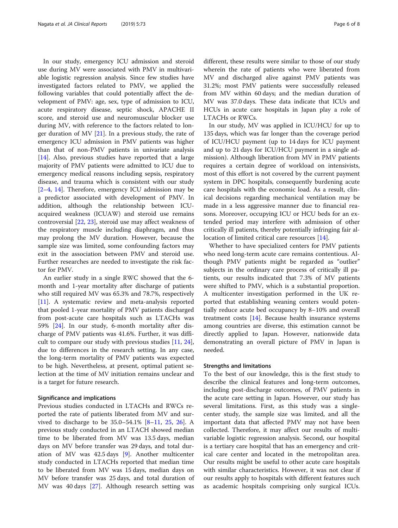In our study, emergency ICU admission and steroid use during MV were associated with PMV in multivariable logistic regression analysis. Since few studies have investigated factors related to PMV, we applied the following variables that could potentially affect the development of PMV: age, sex, type of admission to ICU, acute respiratory disease, septic shock, APACHE II score, and steroid use and neuromuscular blocker use during MV, with reference to the factors related to longer duration of MV  $[21]$  $[21]$ . In a previous study, the rate of emergency ICU admission in PMV patients was higher than that of non-PMV patients in univariate analysis [[14\]](#page-6-0). Also, previous studies have reported that a large majority of PMV patients were admitted to ICU due to emergency medical reasons including sepsis, respiratory disease, and trauma which is consistent with our study [[2](#page-6-0)–[4,](#page-6-0) [14](#page-6-0)]. Therefore, emergency ICU admission may be a predictor associated with development of PMV. In addition, although the relationship between ICUacquired weakness (ICUAW) and steroid use remains controversial [[22,](#page-6-0) [23\]](#page-6-0), steroid use may affect weakness of the respiratory muscle including diaphragm, and thus may prolong the MV duration. However, because the sample size was limited, some confounding factors may exit in the association between PMV and steroid use. Further researches are needed to investigate the risk factor for PMV.

An earlier study in a single RWC showed that the 6 month and 1-year mortality after discharge of patients who still required MV was 65.3% and 78.7%, respectively [[11\]](#page-6-0). A systematic review and meta-analysis reported that pooled 1-year mortality of PMV patients discharged from post-acute care hospitals such as LTACHs was 59% [\[24](#page-6-0)]. In our study, 6-month mortality after discharge of PMV patients was 41.6%. Further, it was difficult to compare our study with previous studies [\[11](#page-6-0), [24](#page-6-0)], due to differences in the research setting. In any case, the long-term mortality of PMV patients was expected to be high. Nevertheless, at present, optimal patient selection at the time of MV initiation remains unclear and is a target for future research.

#### Significance and implications

Previous studies conducted in LTACHs and RWCs reported the rate of patients liberated from MV and survived to discharge to be 35.0–54.1% [[8](#page-6-0)–[11](#page-6-0), [25](#page-6-0), [26\]](#page-6-0). A previous study conducted in an LTACH showed median time to be liberated from MV was 13.5 days, median days on MV before transfer was 29 days, and total duration of MV was 42.5 days [[9\]](#page-6-0). Another multicenter study conducted in LTACHs reported that median time to be liberated from MV was 15 days, median days on MV before transfer was 25 days, and total duration of MV was 40 days [[27](#page-7-0)]. Although research setting was

different, these results were similar to those of our study wherein the rate of patients who were liberated from MV and discharged alive against PMV patients was 31.2%; most PMV patients were successfully released from MV within 60 days; and the median duration of MV was 37.0 days. These data indicate that ICUs and HCUs in acute care hospitals in Japan play a role of LTACHs or RWCs.

In our study, MV was applied in ICU/HCU for up to 135 days, which was far longer than the coverage period of ICU/HCU payment (up to 14 days for ICU payment and up to 21 days for ICU/HCU payment in a single admission). Although liberation from MV in PMV patients requires a certain degree of workload on intensivists, most of this effort is not covered by the current payment system in DPC hospitals, consequently burdening acute care hospitals with the economic load. As a result, clinical decisions regarding mechanical ventilation may be made in a less aggressive manner due to financial reasons. Moreover, occupying ICU or HCU beds for an extended period may interfere with admission of other critically ill patients, thereby potentially infringing fair al-location of limited critical care resources [\[14\]](#page-6-0).

Whether to have specialized centers for PMV patients who need long-term acute care remains contentious. Although PMV patients might be regarded as "outlier" subjects in the ordinary care process of critically ill patients, our results indicated that 7.3% of MV patients were shifted to PMV, which is a substantial proportion. A multicenter investigation performed in the UK reported that establishing weaning centers would potentially reduce acute bed occupancy by 8–10% and overall treatment costs [\[14\]](#page-6-0). Because health insurance systems among countries are diverse, this estimation cannot be directly applied to Japan. However, nationwide data demonstrating an overall picture of PMV in Japan is needed.

#### Strengths and limitations

To the best of our knowledge, this is the first study to describe the clinical features and long-term outcomes, including post-discharge outcomes, of PMV patients in the acute care setting in Japan. However, our study has several limitations. First, as this study was a singlecenter study, the sample size was limited, and all the important data that affected PMV may not have been collected. Therefore, it may affect our results of multivariable logistic regression analysis. Second, our hospital is a tertiary care hospital that has an emergency and critical care center and located in the metropolitan area. Our results might be useful to other acute care hospitals with similar characteristics. However, it was not clear if our results apply to hospitals with different features such as academic hospitals comprising only surgical ICUs.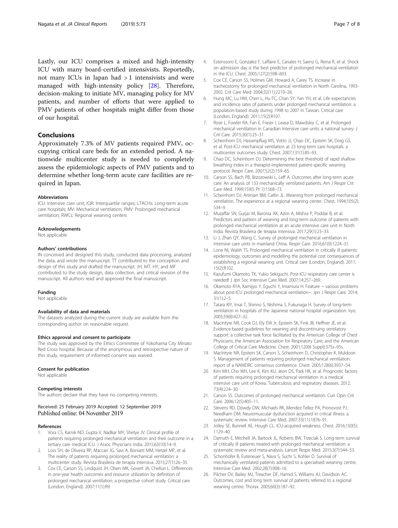<span id="page-6-0"></span>Lastly, our ICU comprises a mixed and high-intensity ICU with many board-certified intensivists. Reportedly, not many ICUs in Japan had > 1 intensivists and were managed with high-intensity policy [\[28](#page-7-0)]. Therefore, decision-making to initiate MV, managing policy for MV patients, and number of efforts that were applied to PMV patients of other hospitals might differ from those of our hospital.

### Conclusions

Approximately 7.3% of MV patients required PMV, occupying critical care beds for an extended period. A nationwide multicenter study is needed to completely assess the epidemiologic aspects of PMV patients and to determine whether long-term acute care facilities are required in Japan.

#### Abbreviations

ICU: Intensive care unit; IQR: Interquartile ranges; LTACHs: Long-term acute care hospitals; MV: Mechanical ventilation; PMV: Prolonged mechanical ventilation; RWCs: Regional weaning centers

#### Acknowledgements

Not applicable

#### Authors' contributions

IN conceived and designed this study, conducted data processing, analyzed the data, and wrote the manuscript. TT contributed to the conception and design of this study and drafted the manuscript. JH, MT, HY, and MF contributed to the study design, data collection, and critical revision of the manuscript. All authors read and approved the final manuscript.

#### Funding

Not applicable

#### Availability of data and materials

The datasets analyzed during the current study are available from the corresponding author on reasonable request.

#### Ethics approval and consent to participate

The study was approved by the Ethics Committee of Yokohama City Minato Red Cross hospital. Because of the anonymous and retrospective nature of this study, requirement of informed consent was waived.

#### Consent for publication

Not applicable

#### Competing interests

The authors declare that they have no competing interests.

#### Received: 25 February 2019 Accepted: 12 September 2019 Published online: 04 November 2019

#### References

- Vora CS, Karnik ND, Gupta V, Nadkar MY, Shetye JV. Clinical profile of patients requiring prolonged mechanical ventilation and their outcome in a tertiary care medical ICU. J Assoc Physicians India. 2015;63(10):14–9.
- 2. Loss SH, de Oliveira RP, Maccari JG, Savi A, Boniatti MM, Hetzel MP, et al. The reality of patients requiring prolonged mechanical ventilation: a multicenter study. Revista Brasileira de terapia intensiva. 2015;27(1):26–35.
- 3. Cox CE, Carson SS, Lindquist JH, Olsen MK, Govert JA, Chelluri L. Differences in one-year health outcomes and resource utilization by definition of prolonged mechanical ventilation: a prospective cohort study. Critical care (London, England). 2007;11(1):R9.
- 4. Estenssoro E, Gonzalez F, Laffaire E, Canales H, Saenz G, Reina R, et al. Shock on admission day is the best predictor of prolonged mechanical ventilation in the ICU. Chest. 2005;127(2):598–603.
- 5. Cox CE, Carson SS, Holmes GM, Howard A, Carey TS. Increase in tracheostomy for prolonged mechanical ventilation in North Carolina, 1993- 2002. Crit Care Med. 2004;32(11):2219–26.
- 6. Hung MC, Lu HM, Chen L, Hu FC, Chan SY, Yan YH, et al. Life expectancies and incidence rates of patients under prolonged mechanical ventilation: a population-based study during 1998 to 2007 in Taiwan. Critical care (London, England). 2011;15(2):R107.
- 7. Rose L, Fowler RA, Fan E, Fraser I, Leasa D, Mawdsley C, et al. Prolonged mechanical ventilation in Canadian intensive care units: a national survey. J Crit Care. 2015;30(1):25–31.
- 8. Scheinhorn DJ, Hassenpflug MS, Votto JJ, Chao DC, Epstein SK, Doig GS, et al. Post-ICU mechanical ventilation at 23 long-term care hospitals: a multicenter outcomes study. Chest. 2007;131(1):85–93.
- 9. Chao DC, Scheinhorn DJ. Determining the best threshold of rapid shallow breathing index in a therapist-implemented patient-specific weaning protocol. Respir Care. 2007;52(2):159–65.
- 10. Carson SS, Bach PB, Brzozowski L, Leff A. Outcomes after long-term acute care. An analysis of 133 mechanically ventilated patients. Am J Respir Crit Care Med. 1999;159(5 Pt 1):1568–73.
- 11. Scheinhorn DJ, Artinian BM, Catlin JL. Weaning from prolonged mechanical ventilation. The experience at a regional weaning center. Chest. 1994;105(2): 534–9.
- 12. Muzaffar SN, Gurjar M, Baronia AK, Azim A, Mishra P, Poddar B, et al. Predictors and pattern of weaning and long-term outcome of patients with prolonged mechanical ventilation at an acute intensive care unit in North India. Revista Brasileira de terapia intensiva. 2017;29(1):23–33.
- 13. Li J, Zhan QY, Wang C. Survey of prolonged mechanical ventilation in intensive care units in mainland China. Respir Care. 2016;61(9):1224–31.
- 14. Lone NI, Walsh TS. Prolonged mechanical ventilation in critically ill patients: epidemiology, outcomes and modelling the potential cost consequences of establishing a regional weaning unit. Critical care (London, England). 2011; 15(2):R102.
- 15. Kazufumi Okamoto TK, Yukio Sekiguchi. Post-ICU respiratory care center is needed! J Jpn Soc Intensive Care Med. 2007;14:257–269.
- 16. Okamoto KYA, Kamijyo Y, Eguchi Y, Imamura H. Feature ~ various problems about post-ICU prolonged mechanical ventilation~. Jpn J Respir Care. 2014; 31(1):2–5.
- 17. Tatara KIY, Imai T, Shinno S, Nishima S, Fukunaga H. Survey of long-term ventilation in hospitals of the Japanese national hospital organization. Iryo. 2005;59(8):427–32.
- 18. MacIntyre NR, Cook DJ, Ely EW Jr, Epstein SK, Fink JB, Heffner JE, et al. Evidence-based guidelines for weaning and discontinuing ventilatory support: a collective task force facilitated by the American College of Chest Physicians; the American Association for Respiratory Care; and the American College of Critical Care Medicine. Chest. 2001;120(6 Suppl):375s–95s.
- 19. MacIntyre NR, Epstein SK, Carson S, Scheinhorn D, Christopher K, Muldoon S. Management of patients requiring prolonged mechanical ventilation: report of a NAMDRC consensus conference. Chest. 2005;128(6):3937–54.
- 20. Kim MH, Cho WH, Lee K, Kim KU, Jeon DS, Park HK, et al. Prognostic factors of patients requiring prolonged mechanical ventilation in a medical intensive care unit of Korea. Tuberculosis and respiratory diseases. 2012; 73(4):224–30.
- 21. Carson SS. Outcomes of prolonged mechanical ventilation. Curr Opin Crit Care. 2006;12(5):405–11.
- 22. Stevens RD, Dowdy DW, Michaels RK, Mendez-Tellez PA, Pronovost PJ, Needham DM. Neuromuscular dysfunction acquired in critical illness: a systematic review. Intensive Care Med. 2007;33(11):1876–91.
- 23. Jolley SE, Bunnell AE, Hough CL. ICU-acquired weakness. Chest. 2016;150(5): 1129–40.
- 24. Damuth E, Mitchell JA, Bartock JL, Roberts BW, Trzeciak S. Long-term survival of critically ill patients treated with prolonged mechanical ventilation: a systematic review and meta-analysis. Lancet Respir Med. 2015;3(7):544–53.
- 25. Schonhofer B, Euteneuer S, Nava S, Suchi S, Kohler D. Survival of mechanically ventilated patients admitted to a specialised weaning centre. Intensive Care Med. 2002;28(7):908–16.
- 26. Pilcher DV, Bailey MJ, Treacher DF, Hamid S, Williams AJ, Davidson AC. Outcomes, cost and long term survival of patients referred to a regional weaning centre. Thorax. 2005;60(3):187–92.